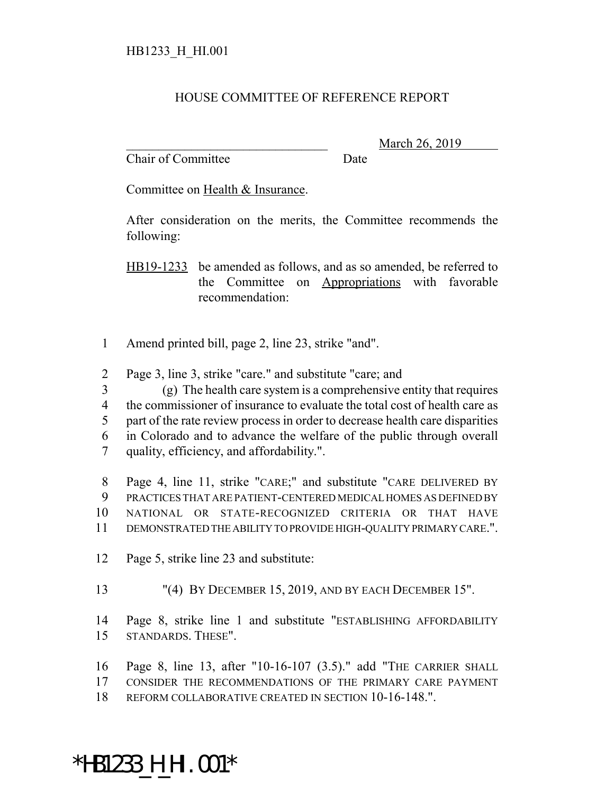## HOUSE COMMITTEE OF REFERENCE REPORT

Chair of Committee Date

March 26, 2019

Committee on Health & Insurance.

After consideration on the merits, the Committee recommends the following:

HB19-1233 be amended as follows, and as so amended, be referred to the Committee on Appropriations with favorable recommendation:

- Amend printed bill, page 2, line 23, strike "and".
- Page 3, line 3, strike "care." and substitute "care; and

(g) The health care system is a comprehensive entity that requires

the commissioner of insurance to evaluate the total cost of health care as

- part of the rate review process in order to decrease health care disparities
- in Colorado and to advance the welfare of the public through overall quality, efficiency, and affordability.".

 Page 4, line 11, strike "CARE;" and substitute "CARE DELIVERED BY PRACTICES THAT ARE PATIENT-CENTERED MEDICAL HOMES AS DEFINED BY NATIONAL OR STATE-RECOGNIZED CRITERIA OR THAT HAVE DEMONSTRATED THE ABILITY TO PROVIDE HIGH-QUALITY PRIMARY CARE.".

- Page 5, strike line 23 and substitute:
- "(4) BY DECEMBER 15, 2019, AND BY EACH DECEMBER 15".

 Page 8, strike line 1 and substitute "ESTABLISHING AFFORDABILITY STANDARDS. THESE".

- Page 8, line 13, after "10-16-107 (3.5)." add "THE CARRIER SHALL
- CONSIDER THE RECOMMENDATIONS OF THE PRIMARY CARE PAYMENT
- REFORM COLLABORATIVE CREATED IN SECTION 10-16-148.".

## \*HB1233\_H\_HI.001\*